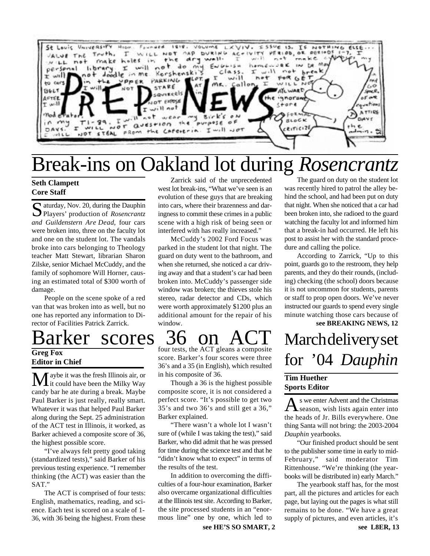

# Break-ins on Oakland lot during *Rosencrantz*

### **Seth Clampett Core Staff**

Saturday, Nov. 20, during the Dauphin<br>Players' production of Rosencrantz Players' production of *Rosencrantz and Guildenstern Are Dead*, four cars were broken into, three on the faculty lot and one on the student lot. The vandals broke into cars belonging to Theology teacher Matt Stewart, librarian Sharon Zilske, senior Michael McCuddy, and the family of sophomore Will Horner, causing an estimated total of \$300 worth of damage.

People on the scene spoke of a red van that was broken into as well, but no one has reported any information to Director of Facilities Patrick Zarrick.

## arker scores 36 on

**Greg Fox Editor in Chief**

**M** aybe it was the fresh Illinois air, or it could have been the Milky Way candy bar he ate during a break. Maybe Paul Barker is just really, really smart. Whatever it was that helped Paul Barker along during the Sept. 25 administration of the ACT test in Illinois, it worked, as Barker achieved a composite score of 36, the highest possible score.

"I've always felt pretty good taking (standardized tests)," said Barker of his previous testing experience. "I remember thinking (the ACT) was easier than the SAT."

The ACT is comprised of four tests: English, mathematics, reading, and science. Each test is scored on a scale of 1- 36, with 36 being the highest. From these

Zarrick said of the unprecedented west lot break-ins, "What we've seen is an evolution of these guys that are breaking into cars, where their brazenness and daringness to commit these crimes in a public scene with a high risk of being seen or interfered with has really increased."

McCuddy's 2002 Ford Focus was parked in the student lot that night. The guard on duty went to the bathroom, and when she returned, she noticed a car driving away and that a student's car had been broken into. McCuddy's passenger side window was broken; the thieves stole his stereo, radar detector and CDs, which were worth approximately \$1200 plus an additional amount for the repair of his window.

four tests, the ACT gleans a composite score. Barker's four scores were three 36's and a 35 (in English), which resulted in his composite of 36.

Though a 36 is the highest possible composite score, it is not considered a perfect score. "It's possible to get two 35's and two 36's and still get a 36," Barker explained.

"There wasn't a whole lot I wasn't sure of (while I was taking the test)," said Barker, who did admit that he was pressed for time during the science test and that he "didn't know what to expect" in terms of the results of the test.

In addition to overcoming the difficulties of a four-hour examination, Barker also overcame organizational difficulties at the Illinois test site. According to Barker, the site processed students in an "enormous line" one by one, which led to

The guard on duty on the student lot was recently hired to patrol the alley behind the school, and had been put on duty that night. When she noticed that a car had been broken into, she radioed to the guard watching the faculty lot and informed him that a break-in had occurred. He left his post to assist her with the standard procedure and calling the police.

According to Zarrick, "Up to this point, guards go to the restroom, they help parents, and they do their rounds, (including) checking (the school) doors because it is not uncommon for students, parents or staff to prop open doors. We've never instructed our guards to spend every single minute watching those cars because of

### **see BREAKING NEWS, 12**

## March delivery set for '04 *Dauphin*

#### **Tim Huether Sports Editor**

A s we enter Advent and the Christmas<br>season, wish lists again enter into s we enter Advent and the Christmas the heads of Jr. Bills everywhere. One thing Santa will not bring: the 2003-2004 *Dauphin* yearbooks.

"Our finished product should be sent to the publisher some time in early to mid-February," said moderator Tim Rittenhouse. "We're thinking (the yearbooks will be distributed in) early March."

The yearbook staff has, for the most part, all the pictures and articles for each page, but laying out the pages is what still remains to be done. "We have a great supply of pictures, and even articles, it's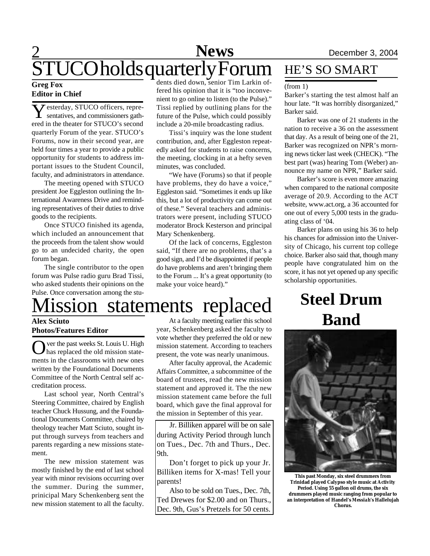#### **Greg Fox Editor in Chief**

 $\overline{Y}$  esterday, STUCO officers, repre-<br>sentatives, and commissioners gath-**Z** esterday, STUCO officers, repreered in the theater for STUCO's second quarterly Forum of the year. STUCO's Forums, now in their second year, are held four times a year to provide a public opportunity for students to address important issues to the Student Council, faculty, and administrators in attendance.

The meeting opened with STUCO president Joe Eggleston outlining the International Awareness Drive and reminding representatives of their duties to drive goods to the recipients.

Once STUCO finished its agenda, which included an announcement that the proceeds from the talent show would go to an undecided charity, the open forum began.

The single contributor to the open forum was Pulse radio guru Brad Tissi, who asked students their opinions on the Pulse. Once conversation among the stu-

dents died down, senior Tim Larkin offered his opinion that it is "too inconvenient to go online to listen (to the Pulse)." Tissi replied by outlining plans for the future of the Pulse, which could possibly include a 20-mile broadcasting radius.

Tissi's inquiry was the lone student contribution, and, after Eggleston repeatedly asked for students to raise concerns, the meeting, clocking in at a hefty seven minutes, was concluded.

"We have (Forums) so that if people have problems, they do have a voice," Eggleston said. "Sometimes it ends up like this, but a lot of productivity can come out of these." Several teachers and administrators were present, including STUCO moderator Brock Kesterson and principal Mary Schenkenberg.

Of the lack of concerns, Eggleston said, "If there are no problems, that's a good sign, and I'd be disappointed if people do have problems and aren't bringing them to the Forum ... It's a great opportunity (to make your voice heard)."

### HE'S SO SMART

#### (from 1)

Barker's starting the test almost half an hour late. "It was horribly disorganized," Barker said.

Barker was one of 21 students in the nation to receive a 36 on the assessment that day. As a result of being one of the 21, Barker was recognized on NPR's morning news ticker last week (CHECK). "The best part (was) hearing Tom (Weber) announce my name on NPR," Barker said.

Barker's score is even more amazing when compared to the national composite average of 20.9. According to the ACT website, www.act.org, a 36 accounted for one out of every 5,000 tests in the graduating class of '04.

Barker plans on using his 36 to help his chances for admission into the University of Chicago, his current top college choice. Barker also said that, though many people have congratulated him on the score, it has not yet opened up any specific scholarship opportunities.

## **Steel Drum Band**

**This past Monday, six steel drummers from Trinidad played Calypso style music at Activity Period. Using 55 gallon oil drums, the six drummers played music ranging from popular to an interpretation of Handel's** *Messiah's* **Hallelujah Chorus.**

## lission statements replaced

#### **Alex Sciuto Photos/Features Editor**

O ver the past weeks St. Louis U. High<br>has replaced the old mission state-<br>ments in the classrooms with new ones ver the past weeks St. Louis U. High has replaced the old mission statewritten by the Foundational Documents Committee of the North Central self accreditation process.

Last school year, North Central's Steering Committee, chaired by English teacher Chuck Hussung, and the Foundational Documents Committee, chaired by theology teacher Matt Sciuto, sought input through surveys from teachers and parents regarding a new missions statement.

The new mission statement was mostly finished by the end of last school year with minor revisions occurring over the summer. During the summer, prinicipal Mary Schenkenberg sent the new mission statement to all the faculty.

At a faculty meeting earlier this school year, Schenkenberg asked the faculty to vote whether they preferred the old or new mission statement. According to teachers present, the vote was nearly unanimous.

After faculty approval, the Academic Affairs Committee, a subcommittee of the board of trustees, read the new mission statement and approved it. The the new mission statement came before the full board, which gave the final approval for the mission in September of this year.

Jr. Billiken apparel will be on sale during Activity Period through lunch on Tues., Dec. 7th and Thurs., Dec. 9th.

Don't forget to pick up your Jr. Billiken items for X-mas! Tell your parents!

Also to be sold on Tues., Dec. 7th, Ted Drewes for \$2.00 and on Thurs., Dec. 9th, Gus's Pretzels for 50 cents.

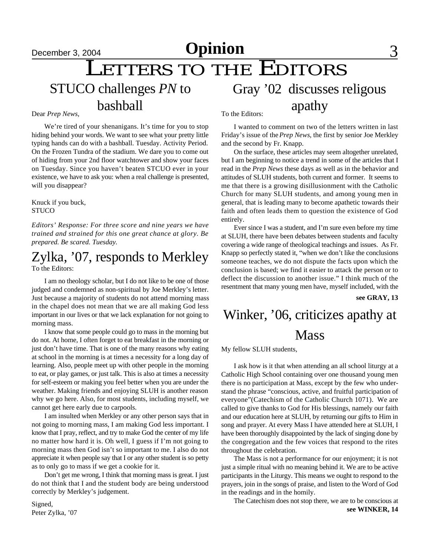## December 3, 2004 **Opinion** 3

## LETTERS TO THE EDITORS

STUCO challenges *PN* to bashball

#### Dear *Prep News,*

We're tired of your shenanigans. It's time for you to stop hiding behind your words. We want to see what your pretty little typing hands can do with a bashball. Tuesday. Activity Period. On the Frozen Tundra of the stadium. We dare you to come out of hiding from your 2nd floor watchtower and show your faces on Tuesday. Since you haven't beaten STCUO ever in your existence, we have to ask you: when a real challenge is presented, will you disappear?

Knuck if you buck, STUCO

*Editors' Response: For three score and nine years we have trained and strained for this one great chance at glory. Be prepared. Be scared. Tuesday.*

### To the Editors: Zylka, '07, responds to Merkley

I am no theology scholar, but I do not like to be one of those judged and condemned as non-spiritual by Joe Merkley's letter. Just because a majority of students do not attend morning mass in the chapel does not mean that we are all making God less important in our lives or that we lack explanation for not going to morning mass.

I know that some people could go to mass in the morning but do not. At home, I often forget to eat breakfast in the morning or just don't have time. That is one of the many reasons why eating at school in the morning is at times a necessity for a long day of learning. Also, people meet up with other people in the morning to eat, or play games, or just talk. This is also at times a necessity for self-esteem or making you feel better when you are under the weather. Making friends and enjoying SLUH is another reason why we go here. Also, for most students, including myself, we cannot get here early due to carpools.

I am insulted when Merkley or any other person says that in not going to morning mass, I am making God less important. I know that I pray, reflect, and try to make God the center of my life no matter how hard it is. Oh well, I guess if I'm not going to morning mass then God isn't so important to me. I also do not appreciate it when people say that I or any other student is so petty as to only go to mass if we get a cookie for it.

Don't get me wrong, I think that morning mass is great. I just do not think that I and the student body are being understood correctly by Merkley's judgement.

To the Editors:

I wanted to comment on two of the letters written in last Friday's issue of the *Prep News*, the first by senior Joe Merkley and the second by Fr. Knapp.

Gray '02 discusses religous

apathy

On the surface, these articles may seem altogether unrelated, but I am beginning to notice a trend in some of the articles that I read in the *Prep News* these days as well as in the behavior and attitudes of SLUH students, both current and former. It seems to me that there is a growing disillusionment with the Catholic Church for many SLUH students, and among young men in general, that is leading many to become apathetic towards their faith and often leads them to question the existence of God entirely.

Ever since I was a student, and I'm sure even before my time at SLUH, there have been debates between students and faculty covering a wide range of theological teachings and issues. As Fr. Knapp so perfectly stated it, "when we don't like the conclusions someone teaches, we do not dispute the facts upon which the conclusion is based; we find it easier to attack the person or to deflect the discussion to another issue." I think much of the resentment that many young men have, myself included, with the

**see GRAY, 13**

## Winker, '06, criticizes apathy at **Mass**

My fellow SLUH students,

I ask how is it that when attending an all school liturgy at a Catholic High School containing over one thousand young men there is no participation at Mass, except by the few who understand the phrase "conscious, active, and fruitful participation of everyone"(Catechism of the Catholic Church 1071). We are called to give thanks to God for His blessings, namely our faith and our education here at SLUH, by returning our gifts to Him in song and prayer. At every Mass I have attended here at SLUH, I have been thoroughly disappointed by the lack of singing done by the congregation and the few voices that respond to the rites throughout the celebration.

The Mass is not a performance for our enjoyment; it is not just a simple ritual with no meaning behind it. We are to be active participants in the Liturgy. This means we ought to respond to the prayers, join in the songs of praise, and listen to the Word of God in the readings and in the homily.

The Catechism does not stop there, we are to be conscious at **see WINKER, 14**

Signed, Peter Zylka, '07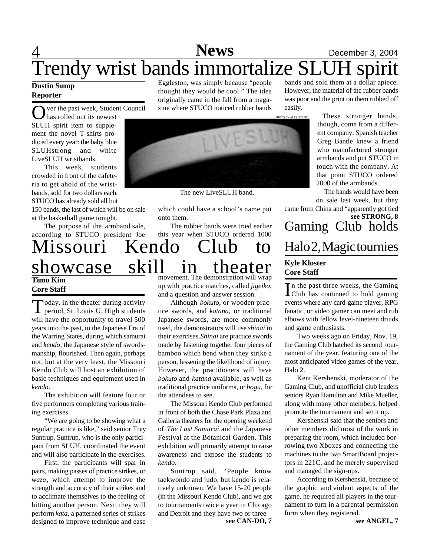## 4 **Sports News** December 3, 2004 Trendy wrist bands immortalize SLUH spirit bands and sold them at a dollar apiece.

#### **Dustin Sump Reporter**

Over the past week, Stude ver the past week, Student Council SLUH spirit item to supplement the novel T-shirts produced every year: the baby blue SLUHstrong and white LiveSLUH wristbands.

This week, students crowded in front of the cafeteria to get ahold of the wristbands, sold for two dollars each. STUCO has already sold all but 150 bands, the last of which will be on sale

at the basketball game tonight.

The purpose of the armband sale, according to STUCO president Joe

### Missouri Kendo Club to showcase skill in theater **Timo Kim Core Staff**

Today, in the theater during activity<br>period, St. Louis U. High students oday, in the theater during activity will have the opportunity to travel 500 years into the past, to the Japanese Era of the Warring States, during which samurai and *kendo*, the Japanese style of swordsmanship, flourished. Then again, perhaps not, but at the very least, the Missouri Kendo Club will host an exhibition of basic techniques and equipment used in *kendo*.

The exhibition will feature four or five performers completing various training exercises.

"We are going to be showing what a regular practice is like," said senior Trey Suntrup. Suntrup, who is the only participant from SLUH, coordinated the event and will also participate in the exercises.

First, the participants will spar in pairs, making passes of practice strikes, or *waza*, which attempt to improve the strength and accuracy of their strikes and to acclimate themselves to the feeling of hitting another person. Next, they will perform *kata*, a patterned series of strikes designed to improve technique and ease

Eggleston, was simply because "people thought they would be cool." The idea originally came in the fall from a magazine where STUCO noticed rubber bands



The new LiveSLUH band.

which could have a school's name put onto them.

The rubber bands were tried earlier this year when STUCO ordered 1000

movement. The demonstration will wrap up with practice matches, called *jigeiko*, and a question and answer session.

Although *bokuto*, or wooden practice swords, and *katana*, or traditional Japanese swords, are more commonly used, the demonstrators will use *shinai* in their exercises. *Shinai* are practice swords made by fastening together four pieces of bamboo which bend when they strike a person, lessening the likelihood of injury. However, the practitioners will have *bokuto* and *katana* available, as well as traditional practice uniforms, or *bogu*, for the attendees to see.

The Missouri Kendo Club performed in front of both the Chase Park Plaza and Galleria theaters for the opening weekend of *The Last Samurai* and the Japanese Festival at the Botanical Garden. This exhibition will primarily attempt to raise awareness and expose the students to *kendo*.

Suntrup said, "People know taekwondo and judo, but kendo is relatively unknown. We have 15-20 people (in the Missouri Kendo Club), and we got to tournaments twice a year in Chicago and Detroit and they have two or three<br>see CAN-DO, 7

fanatic, or video gamer can meet and rub elbows with fellow level-nineteen druids and game enthusiasts.

**Kyle Kloster Core Staff**

easily.

Two weeks ago on Friday, Nov. 19, the Gaming Club hatched its second tournament of the year, featuring one of the most anticipated video games of the year, Halo 2.

Gaming Club holds

came from China and "apparently got tied

However, the material of the rubber bands was poor and the print on them rubbed off

> These stronger bands, though, come from a different company. Spanish teacher Greg Bantle knew a friend who manufactured stronger armbands and put STUCO in touch with the company. At that point STUCO ordered 2000 of the armbands.

> The bands would have been on sale last week, but they

> > **see STRONG, 8**

Halo 2, Magic tournies

Club has continued to hold gaming

Kent Kershenski, moderator of the Gaming Club, and unofficial club leaders seniors Ryan Hamilton and Mike Mueller, along with many other members, helped promote the tournament and set it up.

Kershenski said that the seniors and other members did most of the work in preparing the room, which included borrowing two Xboxes and connecting the machines to the two SmartBoard projectors in 221C, and he merely supervised and managed the sign-ups.

According to Kershenski, because of the graphic and violent aspects of the game, he required all players in the tournament to turn in a parental permission form when they registered.

In the past three weeks, the Gaming<br>Club has continued to hold gaming events where any card-game player, RPG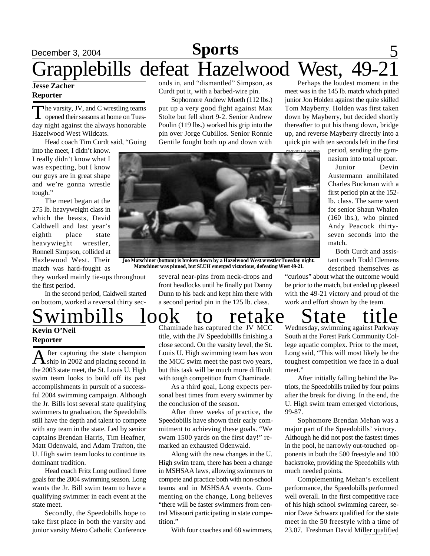### December 3, 2004 **Sports** 5 **Sports** Grapplebills defeat Hazelwood West, 49-21

#### **Jesse Zacher Reporter**

The varsity, JV, and C wrestling teams<br>opened their seasons at home on Tueshe varsity, JV, and C wrestling teams day night against the always honorable Hazelwood West Wildcats.

Head coach Tim Curdt said, "Going

into the meet, I didn't know. I really didn't know what I was expecting, but I know our guys are in great shape and we're gonna wrestle tough."

The meet began at the 275 lb. heavyweight class in which the beasts, David Caldwell and last year's eighth place state heavywieght wrestler, Ronnell Simpson, collided at Hazlewood West. Their match was hard-fought as

they worked mainly tie-ups throughout the first period.

In the second period, Caldwell started on bottom, worked a reversal thirty sec-

## **Kevin O'Neil Reporter**

A fter capturing the state champion<br>ship in 2002 and placing second in fter capturing the state champion the 2003 state meet, the St. Louis U. High swim team looks to build off its past accomplishments in pursuit of a successful 2004 swimming campaign. Although the Jr. Bills lost several state qualifying swimmers to graduation, the Speedobills still have the depth and talent to compete with any team in the state. Led by senior captains Brendan Harris, Tim Heafner, Matt Odenwald, and Adam Trafton, the U. High swim team looks to continue its dominant tradition.

Head coach Fritz Long outlined three goals for the 2004 swimming season. Long wants the Jr. Bill swim team to have a qualifying swimmer in each event at the state meet.

Secondly, the Speedobills hope to take first place in both the varsity and junior varsity Metro Catholic Conference

onds in, and "dismantled" Simpson, as Curdt put it, with a barbed-wire pin.

Sophomore Andrew Mueth (112 lbs.) put up a very good fight against Max Stolte but fell short 9-2. Senior Andrew Poulin (119 lbs.) worked his grip into the pin over Jorge Cubillos. Senior Ronnie Gentile fought both up and down with

Perhaps the loudest moment in the meet was in the 145 lb. match which pitted junior Jon Holden against the quite skilled Tom Mayberry. Holden was first taken down by Mayberry, but decided shortly thereafter to put his thang down, bridge up, and reverse Mayberry directly into a quick pin with ten seconds left in the first

PHOTO BY TIM HUETHER

period, sending the gymnasium into total uproar.

Junior Devin Austermann annihilated Charles Buckman with a first period pin at the 152 lb. class. The same went for senior Shaun Whalen (160 lbs.), who pinned Andy Peacock thirtyseven seconds into the match.

Both Curdt and assistant coach Todd Clemens described themselves as

"curious" about what the outcome would be prior to the match, but ended up pleased with the 49-21 victory and proud of the work and effort shown by the team.

wimbills look to retake State a second period pin in the 125 lb. class.

Chaminade has captured the JV MCC title, with the JV Speedobillls finishing a close second. On the varsity level, the St. Louis U. High swimming team has won the MCC swim meet the past two years, but this task will be much more difficult with tough competition from Chaminade.

As a third goal, Long expects personal best times from every swimmer by the conclusion of the season.

After three weeks of practice, the Speedobills have shown their early commitment to achieving these goals. "We swam 1500 yards on the first day!" remarked an exhausted Odenwald.

Along with the new changes in the U. High swim team, there has been a change in MSHSAA laws, allowing swimmers to compete and practice both with non-school teams and in MSHSAA events. Commenting on the change, Long believes "there will be faster swimmers from central Missouri participating in state competition."

With four coaches and 68 swimmers,

Wednesday, swimming against Parkway South at the Forest Park Community College aquatic complex. Prior to the meet, Long said, "This will most likely be the toughest competition we face in a dual meet."

After initially falling behind the Patriots, the Speedobills trailed by four points after the break for diving. In the end, the U. High swim team emerged victorious, 99-87.

Sophomore Brendan Mehan was a major part of the Speedobills' victory. Although he did not post the fastest times in the pool, he narrowly out-touched opponents in both the 500 freestyle and 100 backstroke, providing the Speedobills with much needed points.

Complementing Mehan's excellent performance, the Speedobills performed well overall. In the first competitive race of his high school swimming career, senior Dave Schwarz qualified for the state meet in the 50 freestyle with a time of 23.07. Freshman David Miller qualified



**Joe Matschiner (bottom) is broken down by a Hazelwood West wrestler Tuesday night. Matschiner was pinned, but SLUH emerged victorious, defeating West 49-21.**

several near-pins from neck-drops and front headlocks until he finally put Danny Dunn to his back and kept him there with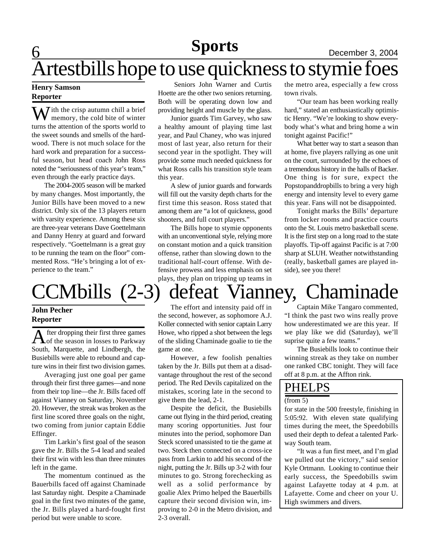### **Sports** December 3, 2004 **Sports**

# Artestbills hope to use quickness to stymie foes

#### **Henry Samson Reporter**

 $\mathbf 6$ 

 $\sum$  *i*th the crisp autumn chill a brief memory, the cold bite of winter turns the attention of the sports world to the sweet sounds and smells of the hardwood. There is not much solace for the hard work and preparation for a successful season, but head coach John Ross noted the "seriousness of this year's team," even through the early practice days.

The 2004-2005 season will be marked by many changes. Most importantly, the Junior Bills have been moved to a new district. Only six of the 13 players return with varsity experience. Among these six are three-year veterans Dave Goettelmann and Danny Henry at guard and forward respectively. "Goettelmann is a great guy to be running the team on the floor" commented Ross. "He's bringing a lot of experience to the team."

#### **John Pecher Reporter**

A fter dropping their first three games<br>of the season in losses to Parkway fter dropping their first three games South, Marquette, and Lindbergh, the Busiebills were able to rebound and capture wins in their first two division games.

Averaging just one goal per game through their first three games—and none from their top line—the Jr. Bills faced off against Vianney on Saturday, November 20. However, the streak was broken as the first line scored three goals on the night, two coming from junior captain Eddie Effinger.

Tim Larkin's first goal of the season gave the Jr. Bills the 5-4 lead and sealed their first win with less than three minutes left in the game.

The momentum continued as the Bauerbills faced off against Chaminade last Saturday night. Despite a Chaminade goal in the first two minutes of the game, the Jr. Bills played a hard-fought first period but were unable to score.

Seniors John Warner and Curtis Hoette are the other two seniors returning. Both will be operating down low and providing height and muscle by the glass.

Junior guards Tim Garvey, who saw a healthy amount of playing time last year, and Paul Chaney, who was injured most of last year, also return for their second year in the spotlight. They will provide some much needed quickness for what Ross calls his transition style team this year.

A slew of junior guards and forwards will fill out the varsity depth charts for the first time this season. Ross stated that among them are "a lot of quickness, good shooters, and full court players."

The Bills hope to stymie opponents with an unconventional style, relying more on constant motion and a quick transition offense, rather than slowing down to the traditional half-court offense. With defensive prowess and less emphasis on set plays, they plan on tripping up teams in

the metro area, especially a few cross town rivals.

"Our team has been working really hard," stated an enthusiastically optimistic Henry. "We're looking to show everybody what's what and bring home a win tonight against Pacific!"

What better way to start a season than at home, five players rallying as one unit on the court, surrounded by the echoes of a tremendous history in the halls of Backer. One thing is for sure, expect the Popstopanddropbills to bring a very high energy and intensity level to every game this year. Fans will not be disappointed.

Tonight marks the Bills' departure from locker rooms and practice courts onto the St. Louis metro basketball scene. It is the first step on a long road to the state playoffs. Tip-off against Pacific is at 7:00 sharp at SLUH. Weather notwithstanding (really, basketball games are played inside), see you there!

# CCMbills (2-3) defeat Vianney, Chaminade

The effort and intensity paid off in the second, however, as sophomore A.J. Koller connected with senior captain Larry Howe, who ripped a shot between the legs of the sliding Chaminade goalie to tie the game at one.

However, a few foolish penalties taken by the Jr. Bills put them at a disadvantage throughout the rest of the second period. The Red Devils capitalized on the mistakes, scoring late in the second to give them the lead, 2-1.

Despite the deficit, the Busiebills came out flying in the third period, creating many scoring opportunities. Just four minutes into the period, sophomore Dan Steck scored unassisted to tie the game at two. Steck then connected on a cross-ice pass from Larkin to add his second of the night, putting the Jr. Bills up 3-2 with four minutes to go. Strong forechecking as well as a solid performance by goalie Alex Primo helped the Bauerbills capture their second division win, improving to 2-0 in the Metro division, and 2-3 overall.

Captain Mike Tangaro commented, "I think the past two wins really prove how underestimated we are this year. If we play like we did (Saturday), we'll suprise quite a few teams."

The Busiebills look to continue their winning streak as they take on number one ranked CBC tonight. They will face off at 8 p.m. at the Affton rink.

### PHELPS

#### (from 5)

for state in the 500 freestyle, finishing in 5:05:92. With eleven state qualifying times during the meet, the Speedobills used their depth to defeat a talented Parkway South team.

"It was a fun first meet, and I'm glad we pulled out the victory," said senior Kyle Ortmann. Looking to continue their early success, the Speedobills swim against Lafayette today at 4 p.m. at Lafayette. Come and cheer on your U. High swimmers and divers.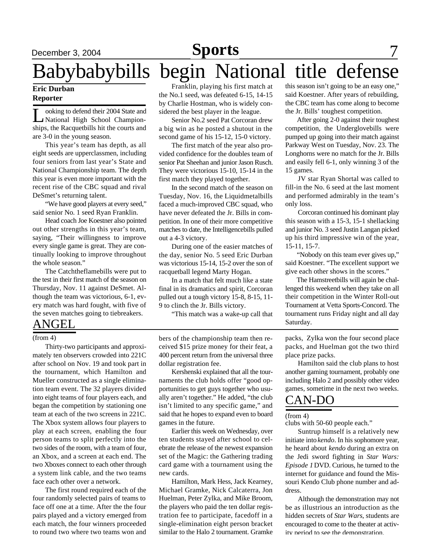# Babybabybills begin National title defense

#### **Eric Durban Reporter**

Let obtain the obtained their 2004 State and<br>
Mational High School Championooking to defend their 2004 State and ships, the Racquetbills hit the courts and are 3-0 in the young season.

This year's team has depth, as all eight seeds are upperclassmen, including four seniors from last year's State and National Championship team. The depth this year is even more important with the recent rise of the CBC squad and rival DeSmet's returning talent.

"We have good players at every seed," said senior No. 1 seed Ryan Franklin.

Head coach Joe Koestner also pointed out other strengths in this year's team, saying, "Their willingness to improve every single game is great. They are continually looking to improve throughout the whole season."

The Catchtheflamebills were put to the test in their first match of the season on Thursday, Nov. 11 against DeSmet. Although the team was victorious, 6-1, every match was hard fought, with five of the seven matches going to tiebreakers.

### ANGEL

#### (from 4)

Thirty-two participants and approximately ten observers crowded into 221C after school on Nov. 19 and took part in the tournament, which Hamilton and Mueller constructed as a single elimination team event. The 32 players divided into eight teams of four players each, and began the competition by stationing one team at each of the two screens in 221C. The Xbox system allows four players to play at each screen, enabling the four person teams to split perfectly into the two sides of the room, with a team of four, an Xbox, and a screen at each end. The two Xboxes connect to each other through a system link cable, and the two teams face each other over a network.

The first round required each of the four randomly selected pairs of teams to face off one at a time. After the the four pairs played and a victory emerged from each match, the four winners proceeded to round two where two teams won and

Franklin, playing his first match at the No.1 seed, was defeated 6-15, 14-15 by Charlie Hostman, who is widely considered the best player in the league.

Senior No.2 seed Pat Corcoran drew a big win as he posted a shutout in the second game of his 15-12, 15-0 victory.

The first match of the year also provided confidence for the doubles team of senior Pat Sheehan and junior Jason Rusch. They were victorious 15-10, 15-14 in the first match they played together.

In the second match of the season on Tuesday, Nov. 16, the Liquidmetalbills faced a much-improved CBC squad, who have never defeated the Jr. Bills in competition. In one of their more competitive matches to date, the Intelligencebills pulled out a 4-3 victory.

During one of the easier matches of the day, senior No. 5 seed Eric Durban was victorious 15-14, 15-2 over the son of racquetball legend Marty Hogan.

In a match that felt much like a state final in its dramatics and spirit, Corcoran pulled out a tough victory 15-8, 8-15, 11- 9 to clinch the Jr. Bills victory.

"This match was a wake-up call that

bers of the championship team then received \$15 prize money for their feat, a 400 percent return from the universal three dollar registration fee.

Kershenski explained that all the tournaments the club holds offer "good opportunities to get guys together who usually aren't together." He added, "the club isn't limited to any specific game," and said that he hopes to expand even to board games in the future.

Earlier this week on Wednesday, over ten students stayed after school to celebrate the release of the newest expansion set of the Magic: the Gathering trading card game with a tournament using the new cards.

Hamilton, Mark Hess, Jack Kearney, Michael Gramke, Nick Calcaterra, Jon Huelman, Peter Zylka, and Mike Broom, the players who paid the ten dollar registration fee to participate, facedoff in a single-elimination eight person bracket similar to the Halo 2 tournament. Gramke

this season isn't going to be an easy one," said Koestner. After years of rebuilding, the CBC team has come along to become the Jr. Bills' toughest competition.

 After going 2-0 against their toughest competition, the Underglovebills were pumped up going into their match against Parkway West on Tuesday, Nov. 23. The Longhorns were no match for the Jr. Bills and easily fell 6-1, only winning 3 of the 15 games.

JV star Ryan Shortal was called to fill-in the No. 6 seed at the last moment and performed admirably in the team's only loss.

Corcoran continued his dominant play this season with a 15-3, 15-1 shellacking and junior No. 3 seed Justin Langan picked up his third impressive win of the year, 15-11, 15-7.

 "Nobody on this team ever gives up," said Koestner. "The excellent support we give each other shows in the scores."

 The Hamstreetbills will again be challenged this weekend when they take on all their competition in the Winter Roll-out Tournament at Vetta Sports-Concord. The tournament runs Friday night and all day Saturday.

packs, Zylka won the four second place packs, and Huelman got the two third place prize packs.

Hamilton said the club plans to host another gaming tournament, probably one including Halo 2 and possibly other video games, sometime in the next two weeks.

### CAN-DO

(from 4)

clubs with 50-60 people each."

Suntrup himself is a relatively new initiate into *kendo*. In his sophomore year, he heard about *kendo* during an extra on the Jedi sword fighting in *Star Wars: Episode 1* DVD. Curious, he turned to the internet for guidance and found the Missouri Kendo Club phone number and address.

Although the demonstration may not be as illustrious an introduction as the hidden secrets of *Star Wars*, students are encouraged to come to the theater at activity period to see the demonstration.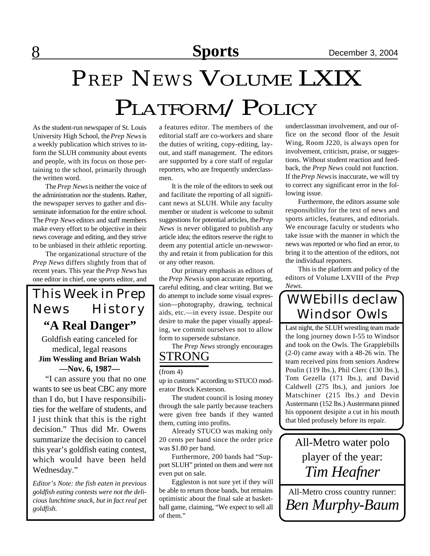# PLATFORM/POLICY *PREP NEWS* VOLUME LXIX

As the student-run newspaper of St. Louis University High School, the *Prep News* is a weekly publication which strives to inform the SLUH community about events and people, with its focus on those pertaining to the school, primarily through the written word.

The *Prep News* is neither the voice of the administration nor the students. Rather, the newspaper serves to gather and disseminate information for the entire school. The *Prep News* editors and staff members make every effort to be objective in their news coverage and editing, and they strive to be unbiased in their athletic reporting.

The organizational structure of the *Prep News* differs slightly from that of recent years. This year the *Prep News* has one editor in chief, one sports editor, and

### This Week in Prep News History **"A Real Danger"**

Goldfish eating canceled for medical, legal reasons **Jim Wessling and Brian Walsh —Nov. 6, 1987—**

"I can assure you that no one wants to see us beat CBC any more than I do, but I have responsibilities for the welfare of students, and I just think that this is the right decision." Thus did Mr. Owens summarize the decision to cancel this year's goldfish eating contest, which would have been held Wednesday."

*Editor's Note: the fish eaten in previous goldfish eating contests were not the delicious lunchtime snack, but in fact real pet goldfish.*

a features editor. The members of the editorial staff are co-workers and share the duties of writing, copy-editing, layout, and staff management. The editors are supported by a core staff of regular reporters, who are frequently underclassmen.

It is the role of the editors to seek out and facilitate the reporting of all significant news at SLUH. While any faculty member or student is welcome to submit suggestions for potential articles, the *Prep News* is never obligated to publish any article idea; the editors reserve the right to deem any potential article un-newsworthy and retain it from publication for this or any other reason.

Our primary emphasis as editors of the *Prep News* is upon accurate reporting, careful editing, and clear writing. But we do attempt to include some visual expression—photography, drawing, technical aids, etc.—in every issue. Despite our desire to make the paper visually appealing, we commit ourselves not to allow form to supersede substance.

STRONG The *Prep News* strongly encourages

#### (from 4)

up in customs" according to STUCO moderator Brock Kesterson.

The student council is losing money through the sale partly because teachers were given free bands if they wanted them, cutting into profits.

Already STUCO was making only 20 cents per band since the order price was \$1.80 per band.

Furthermore, 200 bands had "Support SLUH" printed on them and were not even put on sale.

Eggleston is not sure yet if they will be able to return those bands, but remains optimistic about the final sale at basketball game, claiming, "We expect to sell all of them."

underclassman involvement, and our office on the second floor of the Jesuit Wing, Room J220, is always open for involvement, criticism, praise, or suggestions. Without student reaction and feedback, the *Prep News* could not function. If the *Prep News* is inaccurate, we will try to correct any significant error in the following issue.

Furthermore, the editors assume sole responsibility for the text of news and sports articles, features, and editorials. We encourage faculty or students who take issue with the manner in which the news was reported or who find an error, to bring it to the attention of the editors, not the individual reporters.

This is the platform and policy of the editors of Volume LXVIII of the *Prep News*.

### WWEbills declaw Windsor Owls

Last night, the SLUH wrestling team made the long journey down I-55 to Windsor and took on the Owls. The Grapplebills (2-0) came away with a 48-26 win. The team received pins from seniors Andrew Poulin (119 lbs.), Phil Clerc (130 lbs.), Tom Gezella (171 lbs.), and David Caldwell (275 lbs.), and juniors Joe Matschiner (215 lbs.) and Devin Austermann (152 lbs.) Austermann pinned his opponent desipite a cut in his mouth that bled profusely before its repair.

All-Metro water polo player of the year: *Tim Heafner*

All-Metro cross country runner: *Ben Murphy-Baum*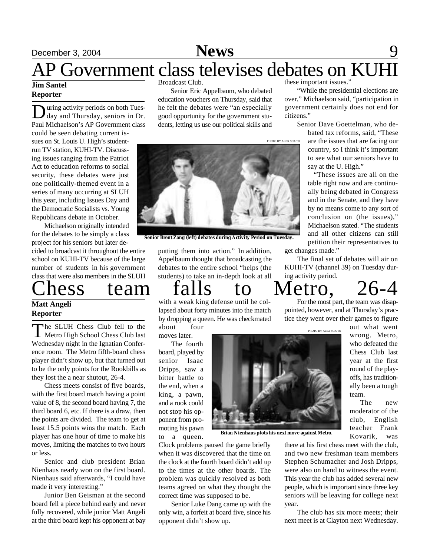# **December 3, 2004 News** 9

## AP Government class televises debates on KUHI

#### **Jim Santel Reporter**

During activity periods on both Tues-<br>day and Thursday, seniors in Dr.<br>Paul Michaelson's AP Government class uring activity periods on both Tuesday and Thursday, seniors in Dr. could be seen debating current issues on St. Louis U. High's studentrun TV station, KUHI-TV. Discussing issues ranging from the Patriot Act to education reforms to social security, these debates were just one politically-themed event in a series of many occurring at SLUH this year, including Issues Day and the Democratic Socialists vs. Young Republicans debate in October.

Michaelson originally intended for the debates to be simply a class project for his seniors but later de-

cided to broadcast it throughout the entire school on KUHI-TV because of the large number of students in his government class that were also members in the SLUH

### hess team falls to Metro, 26-4 **Matt Angeli**

### **Reporter**

The SLUH Chess Club fell to the<br>Metro High School Chess Club last he SLUH Chess Club fell to the Wednesday night in the Ignatian Conference room. The Metro fifth-board chess player didn't show up, but that turned out to be the only points for the Rookbills as they lost the a near shutout, 26-4.

Chess meets consist of five boards, with the first board match having a point value of 8, the second board having 7, the third board 6, etc. If there is a draw, then the points are divided. The team to get at least 15.5 points wins the match. Each player has one hour of time to make his moves, limiting the matches to two hours or less.

Senior and club president Brian Nienhaus nearly won on the first board. Nienhaus said afterwards, "I could have made it very interesting."

Junior Ben Geisman at the second board fell a piece behind early and never fully recovered, while junior Matt Angeli at the third board kept his opponent at bay

Broadcast Club.

Senior Eric Appelbaum, who debated education vouchers on Thursday, said that he felt the debates were "an especially good opportunity for the government students, letting us use our political skills and

these important issues."

PHOTO BY ALEX SCIUTO

"While the presidential elections are over," Michaelson said, "participation in government certainly does not end for citizens."

Senior Dave Goettelman, who de-

bated tax reforms, said, "These are the issues that are facing our country, so I think it's important to see what our seniors have to say at the U. High."

 "These issues are all on the table right now and are continually being debated in Congress and in the Senate, and they have by no means come to any sort of conclusion on (the issues)," Michaelson stated. "The students and all other citizens can still petition their representatives to

get changes made."

The final set of debates will air on KUHI-TV (channel 39) on Tuesday during activity period.

putting them into action." In addition, **Senior Brent Zang (left) debates during Activity Period on Tuesday.**

Appelbaum thought that broadcasting the debates to the entire school "helps (the students) to take an in-depth look at all

with a weak king defense until he collapsed about forty minutes into the match by dropping a queen. He was checkmated about four

moves later.

The fourth board, played by senior Isaac Dripps, saw a bitter battle to the end, when a king, a pawn, and a rook could not stop his opponent from promoting his pawn to a queen.



**Brian Nienhaus plots his next move against Metro.**

Clock problems paused the game briefly when it was discovered that the time on the clock at the fourth board didn't add up to the times at the other boards. The problem was quickly resolved as both teams agreed on what they thought the correct time was supposed to be.

Senior Luke Dang came up with the only win, a forfeit at board five, since his opponent didn't show up.

For the most part, the team was disappointed, however, and at Thursday's practice they went over their games to figure

out what went wrong. Metro, who defeated the Chess Club last year at the first round of the playoffs, has traditionally been a tough team.

The new moderator of the club, English teacher Frank Kovarik, was

there at his first chess meet with the club, and two new freshman team members Stephen Schumacher and Josh Dripps, were also on hand to witness the event. This year the club has added several new people, which is important since three key seniors will be leaving for college next year.

The club has six more meets; their next meet is at Clayton next Wednesday.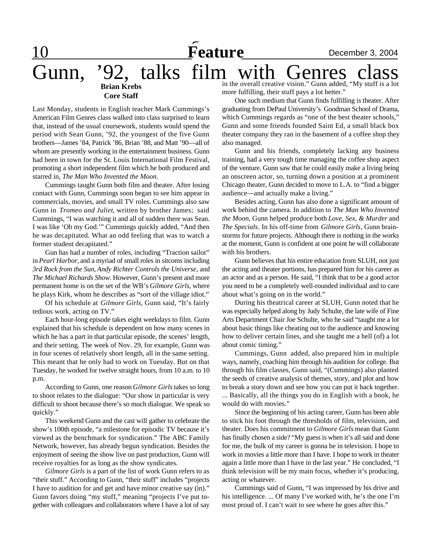**Feature December 3, 2004** Gunn, '92, talks film with Genres **Brian Krebs Core Staff** in the overall creative vision." Gunn added, "My stuff is a lot more fulfilling, their stuff pays a lot better."

Last Monday, students in English teacher Mark Cummings's American Film Genres class walked into class surprised to learn that, instead of the usual coursework, students would spend the period with Sean Gunn, '92, the youngest of the five Gunn brothers—James '84, Patrick '86, Brian '88, and Matt '90—all of whom are presently working in the entertainment business. Gunn had been in town for the St. Louis International Film Festival, promoting a short independent film which he both produced and starred in, *The Man Who Invented the Moon*.

Cummings taught Gunn both film and theater. After losing contact with Gunn, Cummings soon began to see him appear in commercials, movies, and small TV roles. Cummings also saw Gunn in *Tromeo and Juliet*, written by brother James; said Cummings, "I was watching it and all of sudden there was Sean. I was like 'Oh my God.'" Cummings quickly added, "And then he was decapitated. What an odd feeling that was to watch a former student decapitated."

Gun has had a number of roles, including "Traction sailor" in *Pearl Harbor,* and a myriad of small roles in sitcoms including *3rd Rock from the Sun*, *Andy Richter Controls the Universe*, and *The Michael Richards Show*. However, Gunn's present and more permanent home is on the set of the WB's *Gilmore Girls*, where he plays Kirk, whom he describes as "sort of the village idiot."

Of his schedule at *Gilmore Girls*, Gunn said, "It's fairly tedious work, acting on TV."

Each hour-long episode takes eight weekdays to film. Gunn explained that his schedule is dependent on how many scenes in which he has a part in that particular episode, the scenes' length, and their setting. The week of Nov. 29, for example, Gunn was in four scenes of relatively short length, all in the same setting. This meant that he only had to work on Tuesday. But on that Tuesday, he worked for twelve straight hours, from 10 a.m. to 10 p.m.

According to Gunn, one reason *Gilmore Girls* takes so long to shoot relates to the dialogue: "Our show in particular is very difficult to shoot because there's so much dialogue. We speak so quickly."

This weekend Gunn and the cast will gather to celebrate the show's 100th episode, "a milestone for episodic TV because it's viewed as the benchmark for syndication." The ABC Family Network, however, has already begun syndication. Besides the enjoyment of seeing the show live on past production, Gunn will receive royalties for as long as the show syndicates.

*Gilmore Girls* is a part of the list of work Gunn refers to as "their stuff." According to Gunn, "their stuff" includes "projects I have to audition for and get and have minor creative say (in)." Gunn favors doing "my stuff," meaning "projects I've put together with colleagues and collaborators where I have a lot of say

One such medium that Gunn finds fulfilling is theater. After graduating from DePaul University's Goodman School of Drama, which Cummings regards as "one of the best theater schools,"

Gunn and some friends founded Saint Ed, a small black box theater company they ran in the basement of a coffee shop they also managed.

Gunn and his friends, completely lacking any business training, had a very tough time managing the coffee shop aspect of the venture. Gunn saw that he could easily make a living being an onscreen actor, so, turning down a position at a prominent Chicago theater, Gunn decided to move to L.A. to "find a bigger audience—and actually make a living."

Besides acting, Gunn has also done a significant amount of work behind the camera. In addition to *The Man Who Invented the Moon*, Gunn helped produce both *Love, Sex, & Murder* and *The Specials*. In his off-time from *Gilmore Girls*, Gunn brainstorms for future projects. Although there is nothing in the works at the moment, Gunn is confident at one point he will collaborate with his brothers.

Gunn believes that his entire education from SLUH, not just the acting and theater portions, has prepared him for his career as an actor and as a person. He said, "I think that to be a good actor you need to be a completely well-rounded individual and to care about what's going on in the world."

During his theatrical career at SLUH, Gunn noted that he was especially helped along by Judy Schulte, the late wife of Fine Arts Department Chair Joe Schulte, who he said "taught me a lot about basic things like cheating out to the audience and knowing how to deliver certain lines, and she taught me a hell (of) a lot about comic timing."

Cummings, Gunn added, also prepared him in multiple ways, namely, coaching him through his audition for college. But through his film classes, Gunn said, "(Cummings) also planted the seeds of creative analysis of themes, story, and plot and how to break a story down and see how you can put it back together. ... Basically, all the things you do in English with a book, he would do with movies."

Since the beginning of his acting career, Gunn has been able to stick his foot through the thresholds of film, television, and theater. Does his commitment to *Gilmore Girls* mean that Gunn has finally chosen a side? "My guess is when it's all said and done for me, the bulk of my career is gonna be in television. I hope to work in movies a little more than I have. I hope to work in theater again a little more than I have in the last year." He concluded, "I think television will be my main focus, whether it's producing, acting or whatever.

Cummings said of Gunn, "I was impressed by his drive and his intelligence. ... Of many I've worked with, he's the one I'm most proud of. I can't wait to see where he goes after this."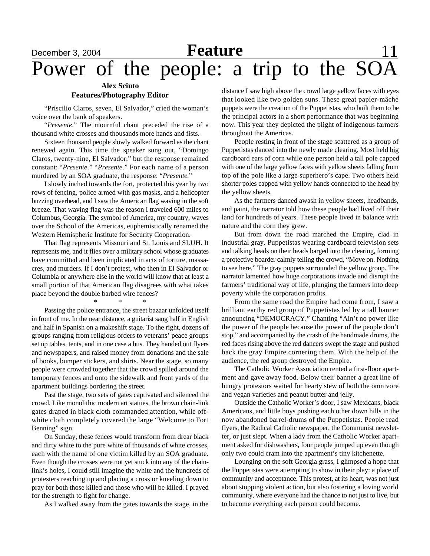## **Feature Feature Example 11**<br>**Power** of the people: a trip to the SOA Power of the people: a

#### **Alex Sciuto Features/Photography Editor**

"Priscilio Claros, seven, El Salvador," cried the woman's voice over the bank of speakers.

"*Presente*." The mournful chant preceded the rise of a thousand white crosses and thousands more hands and fists.

Sixteen thousand people slowly walked forward as the chant renewed again. This time the speaker sung out, "Domingo Claros, twenty-nine, El Salvador," but the response remained constant: "*Presente*." "*Presente*." For each name of a person murdered by an SOA graduate, the response: "*Presente*."

I slowly inched towards the fort, protected this year by two rows of fencing, police armed with gas masks, and a helicopter buzzing overhead, and I saw the American flag waving in the soft breeze. That waving flag was the reason I traveled 600 miles to Columbus, Georgia. The symbol of America, my country, waves over the School of the Americas, euphemistically renamed the Western Hemispheric Institute for Security Cooperation.

That flag represents Missouri and St. Louis and SLUH. It represents me, and it flies over a military school whose graduates have committed and been implicated in acts of torture, massacres, and murders. If I don't protest, who then in El Salvador or Columbia or anywhere else in the world will know that at least a small portion of that American flag disagrees with what takes place beyond the double barbed wire fences?

\* \* \*

Passing the police entrance, the street bazaar unfolded itself in front of me. In the near distance, a guitarist sang half in English and half in Spanish on a makeshift stage. To the right, dozens of groups ranging from religious orders to veterans' peace groups set up tables, tents, and in one case a bus. They handed out flyers and newspapers, and raised money from donations and the sale of books, bumper stickers, and shirts. Near the stage, so many people were crowded together that the crowd spilled around the temporary fences and onto the sidewalk and front yards of the apartment buildings bordering the street.

Past the stage, two sets of gates captivated and silenced the crowd. Like monolithic modern art statues, the brown chain-link gates draped in black cloth commanded attention, while offwhite cloth completely covered the large "Welcome to Fort Benning" sign.

On Sunday, these fences would transform from drear black and dirty white to the pure white of thousands of white crosses, each with the name of one victim killed by an SOA graduate. Even though the crosses were not yet stuck into any of the chainlink's holes, I could still imagine the white and the hundreds of protesters reaching up and placing a cross or kneeling down to pray for both those killed and those who will be killed. I prayed for the strength to fight for change.

As I walked away from the gates towards the stage, in the

distance I saw high above the crowd large yellow faces with eyes that looked like two golden suns. These great papier-mâché puppets were the creation of the Puppetistas, who built them to be the principal actors in a short performance that was beginning now. This year they depicted the plight of indigenous farmers throughout the Americas.

People resting in front of the stage scattered as a group of Puppetistas danced into the newly made clearing. Most held big cardboard ears of corn while one person held a tall pole capped with one of the large yellow faces with yellow sheets falling from top of the pole like a large superhero's cape. Two others held shorter poles capped with yellow hands connected to the head by the yellow sheets.

As the farmers danced awash in yellow sheets, headbands, and paint, the narrator told how these people had lived off their land for hundreds of years. These people lived in balance with nature and the corn they grew.

But from down the road marched the Empire, clad in industrial gray. Puppetistas wearing cardboard television sets and talking heads on their heads barged into the clearing, forming a protective boarder calmly telling the crowd, "Move on. Nothing to see here." The gray puppets surrounded the yellow group. The narrator lamented how huge corporations invade and disrupt the farmers' traditional way of life, plunging the farmers into deep poverty while the corporation profits.

From the same road the Empire had come from, I saw a brilliant earthy red group of Puppetistas led by a tall banner announcing "DEMOCRACY." Chanting "Ain't no power like the power of the people because the power of the people don't stop," and accompanied by the crash of the handmade drums, the red faces rising above the red dancers swept the stage and pushed back the gray Empire cornering them. With the help of the audience, the red group destroyed the Empire.

The Catholic Worker Association rented a first-floor apartment and gave away food. Below their banner a great line of hungry protestors waited for hearty stew of both the omnivore and vegan varieties and peanut butter and jelly.

Outside the Catholic Worker's door, I saw Mexicans, black Americans, and little boys pushing each other down hills in the now abandoned barrel-drums of the Puppetistas. People read flyers, the Radical Catholic newspaper, the Communist newsletter, or just slept. When a lady from the Catholic Worker apartment asked for dishwashers, four people jumped up even though only two could cram into the apartment's tiny kitchenette.

Lounging on the soft Georgia grass, I glimpsed a hope that the Puppetistas were attempting to show in their play: a place of community and acceptance. This protest, at its heart, was not just about stopping violent action, but also fostering a loving world community, where everyone had the chance to not just to live, but to become everything each person could become.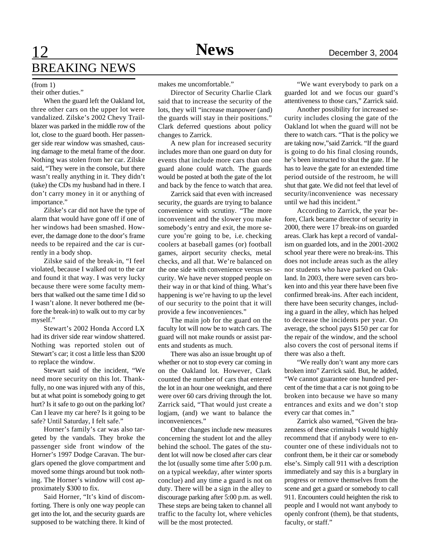## 12 **Sports News** December 3, 2004 BREAKING NEWS

#### (from 1)

their other duties."

When the guard left the Oakland lot, three other cars on the upper lot were vandalized. Zilske's 2002 Chevy Trailblazer was parked in the middle row of the lot, close to the guard booth. Her passenger side rear window was smashed, causing damage to the metal frame of the door. Nothing was stolen from her car. Zilske said, "They were in the console, but there wasn't really anything in it. They didn't (take) the CDs my husband had in there. I don't carry money in it or anything of importance."

Zilske's car did not have the type of alarm that would have gone off if one of her windows had been smashed. However, the damage done to the door's frame needs to be repaired and the car is currently in a body shop.

Zilske said of the break-in, "I feel violated, because I walked out to the car and found it that way. I was very lucky because there were some faculty members that walked out the same time I did so I wasn't alone. It never bothered me (before the break-in) to walk out to my car by myself."

Stewart's 2002 Honda Accord LX had its driver side rear window shattered. Nothing was reported stolen out of Stewart's car; it cost a little less than \$200 to replace the window.

Stewart said of the incident, "We need more security on this lot. Thankfully, no one was injured with any of this, but at what point is somebody going to get hurt? Is it safe to go out on the parking lot? Can I leave my car here? Is it going to be safe? Until Saturday, I felt safe."

Horner's family's car was also targeted by the vandals. They broke the passenger side front window of the Horner's 1997 Dodge Caravan. The burglars opened the glove compartment and moved some things around but took nothing. The Horner's window will cost approximately \$300 to fix.

Said Horner, "It's kind of discomforting. There is only one way people can get into the lot, and the security guards are supposed to be watching there. It kind of makes me uncomfortable."

Director of Security Charlie Clark said that to increase the security of the lots, they will "increase manpower (and) the guards will stay in their positions." Clark deferred questions about policy changes to Zarrick.

A new plan for increased security includes more than one guard on duty for events that include more cars than one guard alone could watch. The guards would be posted at both the gate of the lot and back by the fence to watch that area.

Zarrick said that even with increased security, the guards are trying to balance convenience with scrutiny. "The more inconvenient and the slower you make somebody's entry and exit, the more secure you're going to be, i.e. checking coolers at baseball games (or) football games, airport security checks, metal checks, and all that. We're balanced on the one side with convenience versus security. We have never stopped people on their way in or that kind of thing. What's happening is we're having to up the level of our security to the point that it will provide a few inconveniences."

The main job for the guard on the faculty lot will now be to watch cars. The guard will not make rounds or assist parents and students as much.

There was also an issue brought up of whether or not to stop every car coming in on the Oakland lot. However, Clark counted the number of cars that entered the lot in an hour one weeknight, and there were over 60 cars driving through the lot. Zarrick said, "That would just create a logjam, (and) we want to balance the inconveniences."

Other changes include new measures concerning the student lot and the alley behind the school. The gates of the student lot will now be closed after cars clear the lot (usually some time after 5:00 p.m. on a typical weekday, after winter sports conclue) and any time a guard is not on duty. There will be a sign in the alley to discourage parking after 5:00 p.m. as well. These steps are being taken to channel all traffic to the faculty lot, where vehicles will be the most protected.

"We want everybody to park on a guarded lot and we focus our guard's attentiveness to those cars," Zarrick said.

Another possibility for increased security includes closing the gate of the Oakland lot when the guard will not be there to watch cars. "That is the policy we are taking now,"said Zarrick. "If the guard is going to do his final closing rounds, he's been instructed to shut the gate. If he has to leave the gate for an extended time period outside of the restroom, he will shut that gate. We did not feel that level of security/inconvenience was necessary until we had this incident."

According to Zarrick, the year before, Clark became director of security in 2000, there were 17 break-ins on guarded areas. Clark has kept a record of vandalism on guarded lots, and in the 2001-2002 school year there were no break-ins. This does not include areas such as the alley nor students who have parked on Oakland. In 2003, there were seven cars broken into and this year there have been five confirmed break-ins. After each incident, there have been security changes, including a guard in the alley, which has helped to decrease the incidents per year. On average, the school pays \$150 per car for the repair of the window, and the school also covers the cost of personal items if there was also a theft.

"We really don't want any more cars broken into" Zarrick said. But, he added, "We cannot guarantee one hundred percent of the time that a car is not going to be broken into because we have so many entrances and exits and we don't stop every car that comes in."

Zarrick also warned, "Given the brazenness of these criminals I would highly recommend that if anybody were to encounter one of these individuals not to confront them, be it their car or somebody else's. Simply call 911 with a description immediately and say this is a burglary in progress or remove themselves from the scene and get a guard or somebody to call 911. Encounters could heighten the risk to people and I would not want anybody to openly confront (them), be that students, faculty, or staff."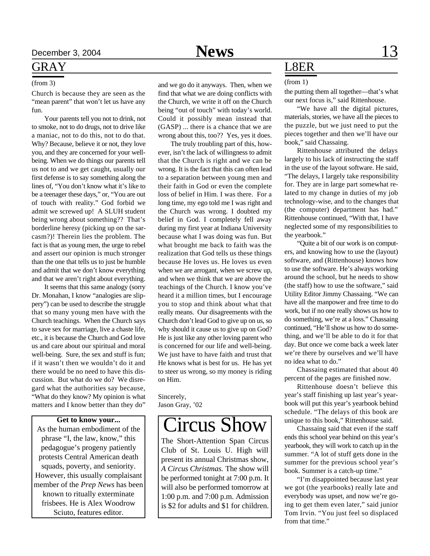### GRAY

#### (from 3)

Church is because they are seen as the "mean parent" that won't let us have any fun.

Your parents tell you not to drink, not to smoke, not to do drugs, not to drive like a maniac, not to do this, not to do that. Why? Because, believe it or not, they love you, and they are concerned for your wellbeing. When we do things our parents tell us not to and we get caught, usually our first defense is to say something along the lines of, "You don't know what it's like to be a teenager these days," or, "You are out of touch with reality." God forbid we admit we screwed up! A SLUH student being wrong about something?? That's borderline heresy (picking up on the sarcasm?)! Therein lies the problem. The fact is that as young men, the urge to rebel and assert our opinion is much stronger than the one that tells us to just be humble and admit that we don't know everything and that we aren't right about everything.

It seems that this same analogy (sorry Dr. Monahan, I know "analogies are slippery") can be used to describe the struggle that so many young men have with the Church teachings. When the Church says to save sex for marriage, live a chaste life, etc., it is because the Church and God love us and care about our spiritual and moral well-being. Sure, the sex and stuff is fun; if it wasn't then we wouldn't do it and there would be no need to have this discussion. But what do we do? We disregard what the authorities say because, "What do they know? My opinion is what matters and I know better than they do"

#### **Get to know your...**

As the human embodiment of the phrase "I, the law, know," this pedagogue's progeny patiently protests Central American death squads, poverty, and seniority. However, this usually complaisant member of the *Prep News* has been known to ritually exterminate frisbees. He is Alex Woodrow Sciuto, features editor.

and we go do it anyways. Then, when we find that what we are doing conflicts with the Church, we write it off on the Church being "out of touch" with today's world. Could it possibly mean instead that (GASP) ... there is a chance that we are wrong about this, too?? Yes, yes it does.

The truly troubling part of this, however, isn't the lack of willingness to admit that the Church is right and we can be wrong. It is the fact that this can often lead to a separation between young men and their faith in God or even the complete loss of belief in Him. I was there. For a long time, my ego told me I was right and the Church was wrong. I doubted my belief in God. I completely fell away during my first year at Indiana University because what I was doing was fun. But what brought me back to faith was the realization that God tells us these things because He loves us. He loves us even when we are arrogant, when we screw up, and when we think that we are above the teachings of the Church. I know you've heard it a million times, but I encourage you to stop and think about what that really means. Our disagreements with the Church don't lead God to give up on us, so why should it cause us to give up on God? He is just like any other loving parent who is concerned for our life and well-being. We just have to have faith and trust that He knows what is best for us. He has yet to steer us wrong, so my money is riding on Him.

Sincerely, Jason Gray, '02

## Circus Show

The Short-Attention Span Circus Club of St. Louis U. High will present its annual Christmas show, *A Circus Christmas.* The show will be performed tonight at 7:00 p.m. It will also be performed tomorrow at 1:00 p.m. and 7:00 p.m. Admission is \$2 for adults and \$1 for children.

### L8ER

#### (from 1)

the putting them all together—that's what our next focus is," said Rittenhouse.

"We have all the digital pictures, materials, stories, we have all the pieces to the puzzle, but we just need to put the pieces together and then we'll have our book," said Chassaing.

Rittenhouse attributed the delays largely to his lack of instructing the staff in the use of the layout software. He said, "The delays, I largely take responsibility for. They are in large part somewhat related to my change in duties of my job technology-wise, and to the changes that (the computer) department has had." Rittenhouse continued, "With that, I have neglected some of my responsibilities to the yearbook."

"Quite a bit of our work is on computers, and knowing how to use the (layout) software, and (Rittenhouse) knows how to use the software. He's always working around the school, but he needs to show (the staff) how to use the software," said Utility Editor Jimmy Chassaing. "We can have all the manpower and free time to do work, but if no one really shows us how to do something, we're at a loss." Chassaing continued, "He'll show us how to do something, and we'll be able to do it for that day. But once we come back a week later we're there by ourselves and we'll have no idea what to do."

Chassaing estimated that about 40 percent of the pages are finished now.

Rittenhouse doesn't believe this year's staff finishing up last year's yearbook will put this year's yearbook behind schedule. "The delays of this book are unique to this book," Rittenhouse said.

Chassaing said that even if the staff ends this school year behind on this year's yearbook, they will work to catch up in the summer. "A lot of stuff gets done in the summer for the previous school year's book. Summer is a catch-up time."

"I'm disappointed because last year we got (the yearbooks) really late and everybody was upset, and now we're going to get them even later," said junior Tom Irvin. "You just feel so displaced from that time."